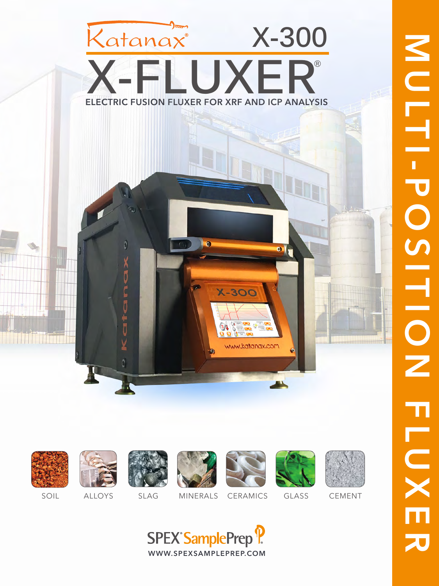# ELECTRIC FUSION FLUXER FOR XRF AND ICP ANALYSIS Katanax<sup>®</sup> **X-300 X-FLUXER®**



<u> Harris Starri</u>



H







**X-300** 

www.katanax.com



 $\bullet$ 





SOIL ALLOYS SLAG MINERALS CERAMICS GLASS CEMENT

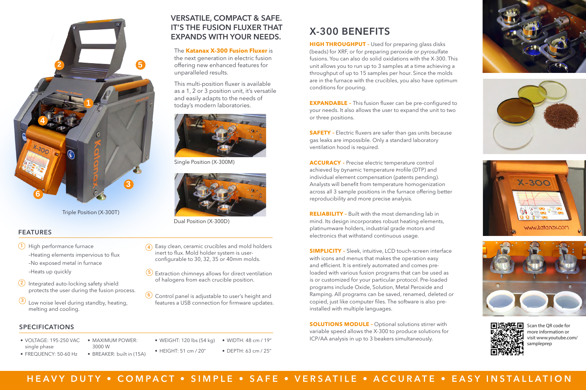**HIGH THROUGHPUT -** Used for preparing glass disks (beads) for XRF, or for preparing peroxide or pyrosulfate fusions. You can also do solid oxidations with the X-300. This unit allows you to run up to 3 samples at a time achieving a throughput of up to 15 samples per hour. Since the molds are in the furnace with the crucibles, you also have optimum conditions for pouring.

**SAFETY** - Electric fluxers are safer than gas units because gas leaks are impossible. Only a standard laboratory ventilation hood is required.

**EXPANDABLE –** This fusion fluxer can be pre-configured to your needs. It also allows the user to expand the unit to two or three positions.

**ACCURACY –** Precise electric temperature control achieved by Dynamic Temperature Profile (DTP) and individual element compensation (patents pending). Analysts will benefit from temperature homogenization across all 3 sample positions in the furnace offering better reproducibility and more precise analysis.

**SOLUTIONS MODULE -** Optional solutions stirrer with variable speed allows the X-300 to produce solutions for ICP/AA analysis in up to 3 beakers simultaneously.

**RELIABILITY –** Built with the most demanding lab in mind. Its design incorporates robust heating elements, platinumware holders, industrial grade motors and electronics that withstand continuous usage.

 $\overline{4}$ ) Easy clean, ceramic crucibles and mold holders inert to flux. Mold holder system is userconfigurable to 30, 32, 35 or 40mm molds.

- $\overline{5}$ ) Extraction chimneys allows for direct ventilation of halogens from each crucible position.
- $\overline{6}$  Control panel is adjustable to user's height and features a USB connection for firmware updates.









**SIMPLICITY –** Sleek, intuitive, LCD touch-screen interface with icons and menus that makes the operation easy and efficient. It is entirely automated and comes preloaded with various fusion programs that can be used as is or customized for your particular protocol. Pre-loaded programs include Oxide, Solution, Metal Peroxide and Ramping. All programs can be saved, renamed, deleted or copied, just like computer files. The software is also preinstalled with multiple languages.



Scan the QR code for more information or visit www.youtube.com/ sampleprep

- 
- HEAVY DUTY COMPACT SIMPLE SAFE VERSATILE ACCURATE EASY INSTALLATION

# X-300 BENEFITS

# FEATURES

- $\bigcup$  High performance furnace –Heating elements impervious to flux –No exposed metal in furnace –Heats up quickly
- $2)$  Integrated auto-locking safety shield protects the user during the fusion process.
- Low noise level during standby, heating, melting and cooling.  $\left( 3\right)$

- VOLTAGE: 195-250 VAC single phase • FREQUENCY: 50-60 Hz
- MAXIMUM POWER: 3000 W
- BREAKER: built in (15A)
- WEIGHT: 120 lbs (54 kg) • WIDTH: 48 cm / 19"
- HEIGHT: 51 cm / 20" • DEPTH: 63 cm / 25"



Triple Position (X-300T)

# SPECIFICATIONS

The **Katanax X-300 Fusion Fluxer** is the next generation in electric fusion offering new enhanced features for

unparalleled results.

This multi-position fluxer is available as a 1, 2 or 3 position unit, it's versatile

and easily adapts to the needs of

today's modern laboratories.

VERSATILE, COMPACT & SAFE.

IT'S THE FUSION FLUXER THAT

EXPANDS WITH YOUR NEEDS.

Single Position (X-300M)

Dual Position (X-300D)